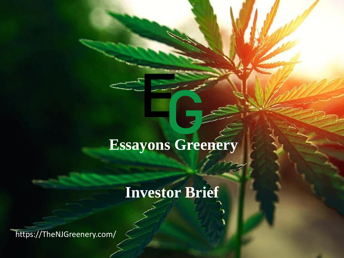# **Essayons Greenery**

# **Investor Brief**

https://TheNJGreenery.com/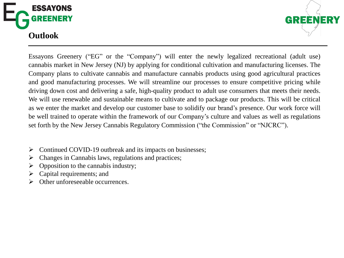



Essayons Greenery ("EG" or the "Company") will enter the newly legalized recreational (adult use) cannabis market in New Jersey (NJ) by applying for conditional cultivation and manufacturing licenses. The Company plans to cultivate cannabis and manufacture cannabis products using good agricultural practices and good manufacturing processes. We will streamline our processes to ensure competitive pricing while driving down cost and delivering a safe, high-quality product to adult use consumers that meets their needs. We will use renewable and sustainable means to cultivate and to package our products. This will be critical as we enter the market and develop our customer base to solidify our brand's presence. Our work force will be well trained to operate within the framework of our Company's culture and values as well as regulations set forth by the New Jersey Cannabis Regulatory Commission ("the Commission" or "NJCRC").

- ➢ Continued COVID-19 outbreak and its impacts on businesses;
- $\triangleright$  Changes in Cannabis laws, regulations and practices;
- $\triangleright$  Opposition to the cannabis industry;
- $\triangleright$  Capital requirements; and
- ➢ Other unforeseeable occurrences.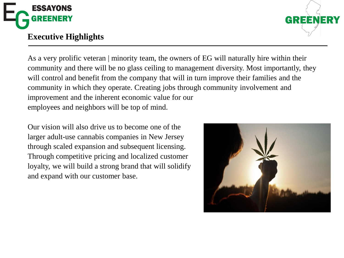

# **Executive Highlights**



As a very prolific veteran | minority team, the owners of EG will naturally hire within their community and there will be no glass ceiling to management diversity. Most importantly, they will control and benefit from the company that will in turn improve their families and the community in which they operate. Creating jobs through community involvement and improvement and the inherent economic value for our employees and neighbors will be top of mind.

Our vision will also drive us to become one of the larger adult-use cannabis companies in New Jersey through scaled expansion and subsequent licensing. Through competitive pricing and localized customer loyalty, we will build a strong brand that will solidify and expand with our customer base.

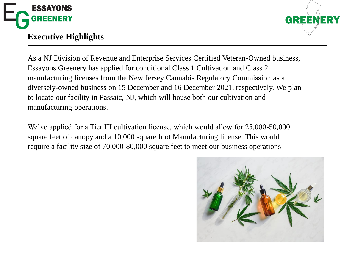

# **Executive Highlights**



As a NJ Division of Revenue and Enterprise Services Certified Veteran-Owned business, Essayons Greenery has applied for conditional Class 1 Cultivation and Class 2 manufacturing licenses from the New Jersey Cannabis Regulatory Commission as a diversely-owned business on 15 December and 16 December 2021, respectively. We plan to locate our facility in Passaic, NJ, which will house both our cultivation and manufacturing operations.

We've applied for a Tier III cultivation license, which would allow for 25,000-50,000 square feet of canopy and a 10,000 square foot Manufacturing license. This would require a facility size of 70,000-80,000 square feet to meet our business operations

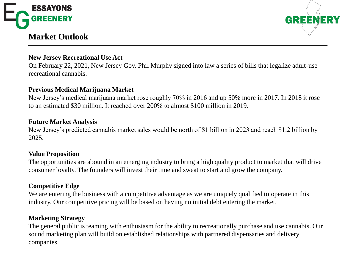

# **Market Outlook**



# **New Jersey Recreational Use Act**

On February 22, 2021, New Jersey Gov. Phil Murphy signed into law a series of bills that legalize adult-use recreational cannabis.

## **Previous Medical Marijuana Market**

New Jersey's medical marijuana market rose roughly 70% in 2016 and up 50% more in 2017. In 2018 it rose to an estimated \$30 million. It reached over 200% to almost \$100 million in 2019.

### **Future Market Analysis**

New Jersey's predicted cannabis market sales would be north of \$1 billion in 2023 and reach \$1.2 billion by 2025.

# **Value Proposition**

The opportunities are abound in an emerging industry to bring a high quality product to market that will drive consumer loyalty. The founders will invest their time and sweat to start and grow the company.

## **Competitive Edge**

We are entering the business with a competitive advantage as we are uniquely qualified to operate in this industry. Our competitive pricing will be based on having no initial debt entering the market.

# **Marketing Strategy**

The general public is teaming with enthusiasm for the ability to recreationally purchase and use cannabis. Our sound marketing plan will build on established relationships with partnered dispensaries and delivery companies.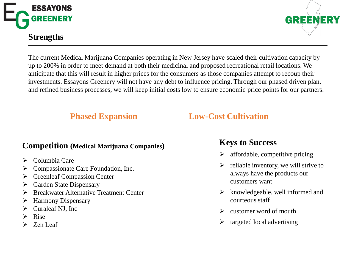

# GREENERY

The current Medical Marijuana Companies operating in New Jersey have scaled their cultivation capacity by up to 200% in order to meet demand at both their medicinal and proposed recreational retail locations. We anticipate that this will result in higher prices for the consumers as those companies attempt to recoup their investments. Essayons Greenery will not have any debt to influence pricing. Through our phased driven plan, and refined business processes, we will keep initial costs low to ensure economic price points for our partners.

# **Competition (Medical Marijuana Companies)**

- ➢ Columbia Care
- ➢ Compassionate Care Foundation, Inc.
- ➢ Greenleaf Compassion Center
- ➢ Garden State Dispensary
- ➢ Breakwater Alternative Treatment Center
- ➢ Harmony Dispensary
- ➢ Curaleaf NJ, Inc
- ➢ Rise
- ➢ Zen Leaf

# **Phased Expansion** Low-Cost Cultivation

# **Keys to Success**

- ➢ affordable, competitive pricing
- $\triangleright$  reliable inventory, we will strive to always have the products our customers want
- $\triangleright$  knowledgeable, well informed and courteous staff
- $\triangleright$  customer word of mouth
- $\triangleright$  targeted local advertising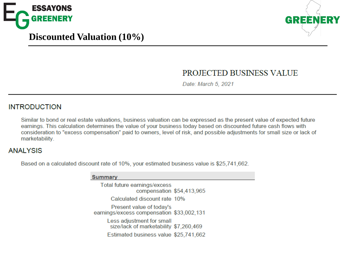



# **PROJECTED BUSINESS VALUE**

Date: March 5, 2021

# **INTRODUCTION**

Similar to bond or real estate valuations, business valuation can be expressed as the present value of expected future earnings. This calculation determines the value of your business today based on discounted future cash flows with consideration to "excess compensation" paid to owners, level of risk, and possible adjustments for small size or lack of marketability.

## **ANALYSIS**

Based on a calculated discount rate of 10%, your estimated business value is \$25,741,662.

| ummary                                                                |  |
|-----------------------------------------------------------------------|--|
| Total future earnings/excess<br>compensation \$54,413,965             |  |
| Calculated discount rate 10%                                          |  |
| Present value of today's<br>earnings/excess compensation \$33,002,131 |  |
| Less adjustment for small<br>size/lack of marketability \$7,260,469   |  |
| Estimated business value \$25,741,662                                 |  |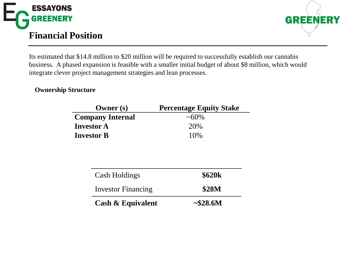



Its estimated that \$14.8 million to \$20 million will be required to successfully establish our cannabis business. A phased expansion is feasible with a smaller initial budget of about \$8 million, which would integrate clever project management strategies and lean processes.

# **Ownership Structure**

| Owner $(s)$             | <b>Percentage Equity Stake</b> |
|-------------------------|--------------------------------|
| <b>Company Internal</b> | $~10\%$                        |
| <b>Investor A</b>       | 20%                            |
| <b>Investor B</b>       | 10%                            |

| <b>Cash &amp; Equivalent</b> | $~1$ $\sim$ \$28.6M |
|------------------------------|---------------------|
| <b>Investor Financing</b>    | \$28M               |
| Cash Holdings                | <b>\$620k</b>       |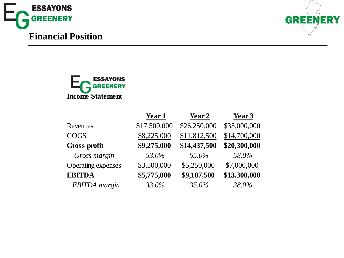



# E<sub>G</sub>ESSAYONS **Income Statement**

|                           | Year 1       | Year 2       | Year 3       |
|---------------------------|--------------|--------------|--------------|
| Revenues                  | \$17,500,000 | \$26,250,000 | \$35,000,000 |
| <b>COGS</b>               | \$8,225,000  | \$11,812,500 | \$14,700,000 |
| <b>Gross profit</b>       | \$9,275,000  | \$14,437,500 | \$20,300,000 |
| Gross margin              | 53.0%        | 55.0%        | 58.0%        |
| <b>Operating expenses</b> | \$3,500,000  | \$5,250,000  | \$7,000,000  |
| <b>EBITDA</b>             | \$5,775,000  | \$9,187,500  | \$13,300,000 |
| <b>EBITDA</b> margin      | 33.0%        | 35.0%        | 38.0%        |
|                           |              |              |              |